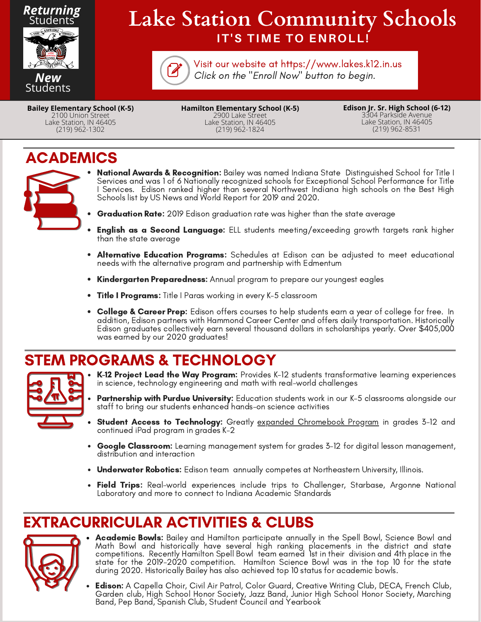

# **IT'S TIME TO ENROLL! Lake Station Community Schools**



Click on the "Enroll Now" button to begin. Visit our website at https://www.lakes.k12.in.us

**Bailey Elementary School (K-5)** 2100 Union Street Lake Station, IN 46405 (219) 962-1302

**Hamilton Elementary School (K-5)** 2900 Lake Street Lake Station, IN 46405 (219) 962-1824

**Edison Jr. Sr. High School (6-12)** 3304 Parkside Avenue Lake Station, IN 46405 (219) 962-8531

#### ACADEMICS



- **National Awards & Recognition:** Bailey was named Indiana State Distinguished School for Title I Services and was 1 of 6 Nationally recognized schools for Exceptional School Performance for Title I Services. Edison ranked higher than several Northwest Indiana high schools on the Best High Schools list by US News and World Report for 2019 and 2020.
- **Graduation Rate:** 2019 Edison graduation rate was higher than the state average
- English as a Second Language: ELL students meeting/exceeding growth targets rank higher than the state average
- $\bullet$ Alternative Education Programs: Schedules at Edison can be adjusted to meet educational needs with the alternative program and partnership with Edmentum
- Kindergarten Preparedness: Annual program to prepare our youngest eagles
- Title I Programs: Title I Paras working in every K-5 classroom
- College & Career Prep: Edison offers courses to help students earn a year of college for free. In addition, Edison partners with Hammond Career Center and offers daily transportation. Historically Edison graduates collectively earn several thousand dollars in scholarships yearly. Over \$405,000 was earned by our 2020 graduates!

### STEM PROGRAMS & TECHNOLOGY



- K-12 Project Lead the Way Program: Provides K-12 students transformative learning experiences in science, technology engineering and math with real-world challenges
- **Partnership with Purdue University:** Education students work in our K-5 classrooms alongside our staff to bring our students enhanced hands-on science activities
- Student Access to Technology: Greatly expanded Chromebook Program in grades 3-12 and continued iPad program in grades K-2
- $\bullet$ Google Classroom: Learning management system for grades 3-12 for digital lesson management, distribution and interaction
- Underwater Robotics: Edison team annually competes at Northeastern University, Illinois.
- **Field Trips:** Real-world experiences include trips to Challenger, Starbase, Argonne National Laboratory and more to connect to Indiana Academic Standards

## EXTRACURRICULAR ACTIVITIES & CLUBS



- Academic Bowls: Bailey and Hamilton participate annually in the Spell Bowl, Science Bowl and Math Bowl and historically have several high ranking placements in the district and state competitions. Recently Hamilton Spell Bowl team earned 1st in their division and 4th place in the state for the 2019-2020 competition. Hamilton Science Bowl was in the top 10 for the state during 2020. Historically Bailey has also achieved top 10 status for academic bowls.
- **Edison:** A Capella Choir, Civil Air Patrol, Color Guard, Creative Writing Club, DECA, French Club, Garden club, High School Honor Society, Jazz Band, Junior High School Honor Society, Marching Band, Pep Band, Spanish Club, Student Council and Yearbook